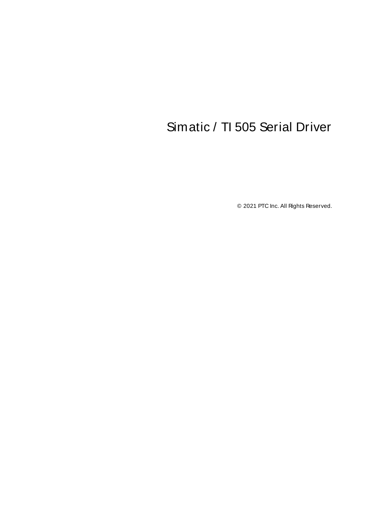# <span id="page-0-0"></span>Simatic / TI 505 Serial Driver

© 2021 PTC Inc. All Rights Reserved.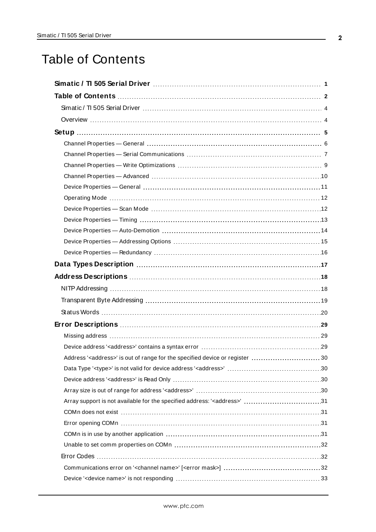# <span id="page-1-0"></span>Table of Contents

| Data Types Description manufacture and the control of the USA of the USA of the USA of the USA of the USA of t |
|----------------------------------------------------------------------------------------------------------------|
|                                                                                                                |
|                                                                                                                |
|                                                                                                                |
|                                                                                                                |
|                                                                                                                |
|                                                                                                                |
|                                                                                                                |
| Address' <address>' is out of range for the specified device or register  30</address>                         |
|                                                                                                                |
|                                                                                                                |
|                                                                                                                |
| Array support is not available for the specified address: ' <address>' 31</address>                            |
|                                                                                                                |
|                                                                                                                |
|                                                                                                                |
|                                                                                                                |
|                                                                                                                |
|                                                                                                                |
|                                                                                                                |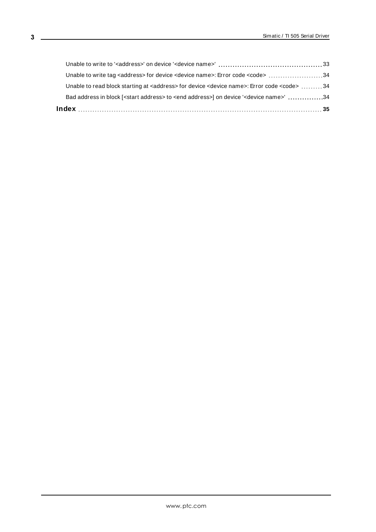| Bad address in block [ <start address=""> to <end address="">] on device '<device name="">' 34</device></end></start>  |  |
|------------------------------------------------------------------------------------------------------------------------|--|
| Unable to read block starting at <address> for device <device name="">: Error code <code> 34</code></device></address> |  |
| Unable to write tag <address> for device <device name="">: Error code <code> 34</code></device></address>              |  |
|                                                                                                                        |  |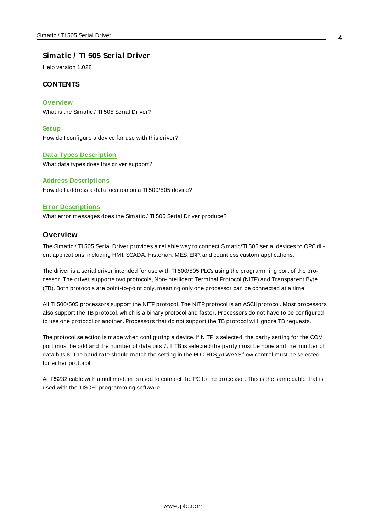#### <span id="page-3-0"></span>**Simatic / TI 505 Serial Driver**

Help version 1.028

#### **CONTENTS**

**[Overview](#page-3-1)** What is the Simatic / TI 505 Serial Driver?

**[Setup](#page-4-0)** How do I configure a device for use with this driver?

#### **Data Types [Description](#page-16-0)**

What data types does this driver support?

#### **Address [Descriptions](#page-17-0)**

How do I address a data location on a TI 500/505 device?

#### **Error [Descriptions](#page-28-0)**

<span id="page-3-1"></span>What error messages does the Simatic / TI 505 Serial Driver produce?

#### **Overview**

The Simatic / TI 505 Serial Driver provides a reliable way to connect Simatic/TI 505 serial devices to OPC dlient applications; including HMI, SCADA, Historian, MES, ERP, and countless custom applications.

The driver is a serial driver intended for use with TI 500/505 PLCs using the programming port of the processor. The driver supports two protocols, Non-Intelligent Terminal Protocol (NITP) and Transparent Byte (TB). Both protocols are point-to-point only, meaning only one processor can be connected at a time.

All TI 500/505 processors support the NITP protocol. The NITP protocol is an ASCII protocol. Most processors also support the TB protocol, which is a binary protocol and faster. Processors do not have to be configured to use one protocol or another. Processors that do not support the TB protocol will ignore TB requests.

The protocol selection is made when configuring a device. If NITP is selected, the parity setting for the COM port must be odd and the number of data bits 7. If TB is selected the parity must be none and the number of data bits 8. The baud rate should match the setting in the PLC. RTS\_ALWAYSflow control must be selected for either protocol.

An RS232 cable with a null modem is used to connect the PC to the processor. This is the same cable that is used with the TISOFT programming software.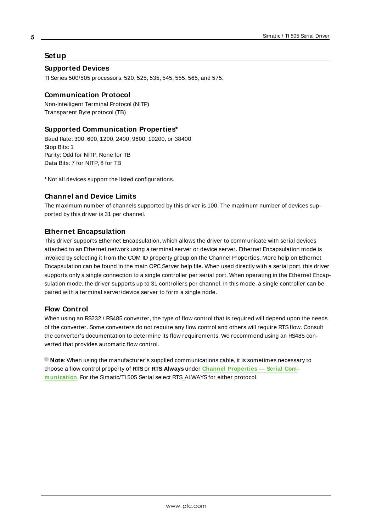#### <span id="page-4-0"></span>**Setup**

**5**

#### **Supported Devices**

TI Series 500/505 processors: 520, 525, 535, 545, 555, 565, and 575.

#### **Communication Protocol**

Non-Intelligent Terminal Protocol (NITP) Transparent Byte protocol (TB)

#### **Supported Communication Properties\***

Baud Rate: 300, 600, 1200, 2400, 9600, 19200, or 38400 Stop Bits: 1 Parity: Odd for NITP, None for TB Data Bits: 7 for NITP, 8 for TB

\* Not all devices support the listed configurations.

#### **Channel and Device Limits**

The maximum number of channels supported by this driver is 100. The maximum number of devices supported by this driver is 31 per channel.

#### <span id="page-4-1"></span>**Ethernet Encapsulation**

This driver supports Ethernet Encapsulation, which allows the driver to communicate with serial devices attached to an Ethernet network using a terminal server or device server. Ethernet Encapsulation mode is invoked by selecting it from the COM ID property group on the Channel Properties. More help on Ethernet Encapsulation can be found in the main OPC Server help file. When used directly with a serial port, this driver supports only a single connection to a single controller per serial port. When operating in the Ethernet Encapsulation mode, the driver supports up to 31 controllers per channel. In this mode, a single controller can be paired with a terminal server/device server to form a single node.

#### **Flow Control**

When using an RS232 / RS485 converter, the type of flow control that is required will depend upon the needs of the converter. Some converters do not require any flow control and others will require RTSflow. Consult the converter's documentation to determine its flow requirements. We recommend using an RS485 converted that provides automatic flow control.

**Note**: When using the manufacturer's supplied communications cable, it is sometimes necessary to choose a flow control property of **RTS**or **RTS Always** under **Channel [Properties](#page-6-0) — Serial Com[munication](#page-6-0)**. For the Simatic/TI 505 Serial select RTS\_ALWAYSfor either protocol.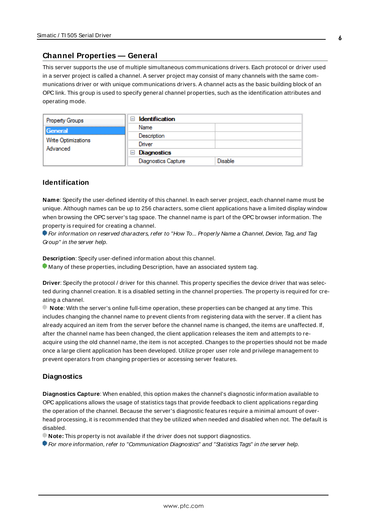#### <span id="page-5-0"></span>**Channel Properties — General**

This server supports the use of multiple simultaneous communications drivers. Each protocol or driver used in a server project is called a channel. A server project may consist of many channels with the same communications driver or with unique communications drivers. A channel acts as the basic building block of an OPC link. This group is used to specify general channel properties, such as the identification attributes and operating mode.

| <b>Property Groups</b>          | <b>Identification</b><br>$\overline{ }$ |                |
|---------------------------------|-----------------------------------------|----------------|
| General                         | Name                                    |                |
|                                 | Description                             |                |
| Write Optimizations<br>Advanced | Driver                                  |                |
|                                 | $\Box$ Diagnostics                      |                |
|                                 | <b>Diagnostics Capture</b>              | <b>Disable</b> |

#### **Identification**

**Name**: Specify the user-defined identity of this channel. In each server project, each channel name must be unique. Although names can be up to 256 characters, some client applications have a limited display window when browsing the OPC server's tag space. The channel name is part of the OPC browser information. The property is required for creating a channel.

For information on reserved characters, refer to "How To... Properly Name a Channel, Device, Tag, and Tag Group" in the server help.

**Description**: Specify user-defined information about this channel.

Many of these properties, including Description, have an associated system tag.

**Driver**: Specify the protocol / driver for this channel. This property specifies the device driver that was selected during channel creation. It is a disabled setting in the channel properties. The property is required for creating a channel.

**Note**: With the server's online full-time operation, these properties can be changed at any time. This includes changing the channel name to prevent clients from registering data with the server. If a client has already acquired an item from the server before the channel name is changed, the items are unaffected. If, after the channel name has been changed, the client application releases the item and attempts to reacquire using the old channel name, the item is not accepted. Changes to the properties should not be made once a large client application has been developed. Utilize proper user role and privilege management to prevent operators from changing properties or accessing server features.

#### **Diagnostics**

**Diagnostics Capture**: When enabled, this option makes the channel's diagnostic information available to OPC applications allows the usage of statistics tags that provide feedback to client applications regarding the operation of the channel. Because the server's diagnostic features require a minimal amount of overhead processing, it is recommended that they be utilized when needed and disabled when not. The default is disabled.

**Note:** This property is not available if the driver does not support diagnostics.

**• For more information, refer to "Communication Diagnostics" and "Statistics Tags" in the server help.**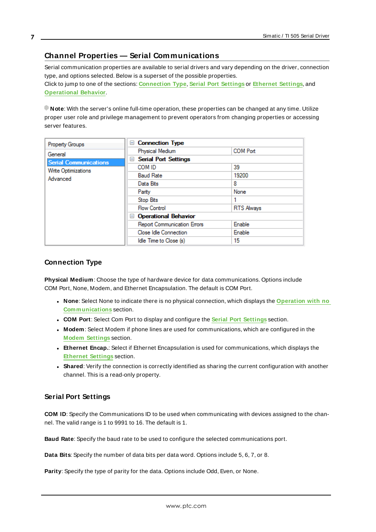### <span id="page-6-0"></span>**Channel Properties — Serial Communications**

Serial communication properties are available to serial drivers and vary depending on the driver, connection type, and options selected. Below is a superset of the possible properties. Click to jump to one of the sections: **[Connection](#page-6-1) Type**, **Serial Port [Settings](#page-6-2)** or **[Ethernet](#page-7-0) Settings**, and **[Operational](#page-7-1) Behavior**.

**Note**: With the server's online full-time operation, these properties can be changed at any time. Utilize proper user role and privilege management to prevent operators from changing properties or accessing server features.

| Property Groups              | □ Connection Type                  |                   |
|------------------------------|------------------------------------|-------------------|
| General                      | Physical Medium                    | <b>COM Port</b>   |
| <b>Serial Communications</b> | <b>Serial Port Settings</b><br>$=$ |                   |
| Write Optimizations          | COM ID                             | 39                |
| Advanced                     | <b>Baud Rate</b>                   | 19200             |
|                              | Data Bits                          | 8                 |
|                              | Parity                             | None              |
|                              | Stop Bits                          |                   |
|                              | <b>Flow Control</b>                | <b>RTS Always</b> |
|                              | □ Operational Behavior             |                   |
|                              | Report Communication Errors        | Enable            |
|                              | Close Idle Connection              | <b>Enable</b>     |
|                              | Idle Time to Close (s)             | 15                |

### <span id="page-6-1"></span>**Connection Type**

**Physical Medium**: Choose the type of hardware device for data communications. Options include COM Port, None, Modem, and Ethernet Encapsulation. The default is COM Port.

- <sup>l</sup> **None**: Select None to indicate there is no physical connection, which displays the **[Operation](#page-8-1) with no [Communications](#page-8-1)** section.
- <sup>l</sup> **COM Port**: Select Com Port to display and configure the **Serial Port [Settings](#page-6-2)** section.
- **Modem**: Select Modem if phone lines are used for communications, which are configured in the **Modem [Settings](#page-8-2)** section.
- **Ethernet Encap.**: Select if Ethernet Encapsulation is used for communications, which displays the **[Ethernet](#page-7-0) Settings** section.
- **Shared**: Verify the connection is correctly identified as sharing the current configuration with another channel. This is a read-only property.

#### <span id="page-6-2"></span>**Serial Port Settings**

**COM ID**: Specify the Communications ID to be used when communicating with devices assigned to the channel. The valid range is 1 to 9991 to 16. The default is 1.

**Baud Rate**: Specify the baud rate to be used to configure the selected communications port.

**Data Bits**: Specify the number of data bits per data word. Options include 5, 6, 7, or 8.

**Parity**: Specify the type of parity for the data. Options include Odd, Even, or None.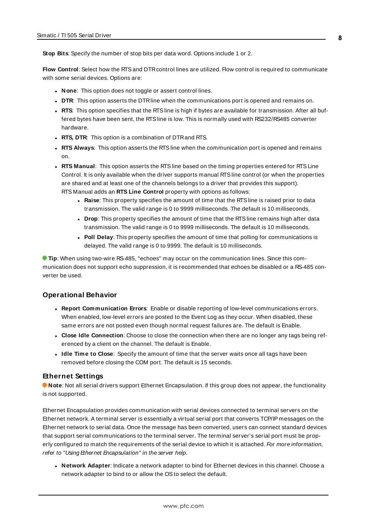**Stop Bits**: Specify the number of stop bits per data word. Options include 1 or 2.

**Flow Control**: Select how the RTSand DTRcontrol lines are utilized. Flow control is required to communicate with some serial devices. Options are:

- **None:** This option does not toggle or assert control lines.
- **DTR:** This option asserts the DTR line when the communications port is opened and remains on.
- **RTS:** This option specifies that the RTS line is high if bytes are available for transmission. After all buffered bytes have been sent, the RTSline is low. This is normally used with RS232/RS485 converter hardware.
- **RTS, DTR:** This option is a combination of DTR and RTS.
- <sup>l</sup> **RTS Always**: This option asserts the RTSline when the communication port is opened and remains on.
- <sup>l</sup> **RTS Manual**: This option asserts the RTSline based on the timing properties entered for RTSLine Control. It is only available when the driver supports manual RTSline control (or when the properties are shared and at least one of the channels belongs to a driver that provides this support). RTS Manual adds an **RTS Line Control** property with options as follows:
	- **Raise**: This property specifies the amount of time that the RTS line is raised prior to data transmission. The valid range is 0 to 9999 milliseconds. The default is 10 milliseconds.
	- **Drop**: This property specifies the amount of time that the RTS line remains high after data transmission. The valid range is 0 to 9999 milliseconds. The default is 10 milliseconds.
	- **Poll Delay**: This property specifies the amount of time that polling for communications is delayed. The valid range is 0 to 9999. The default is 10 milliseconds.

**Tip**: When using two-wire RS-485, "echoes" may occur on the communication lines. Since this communication does not support echo suppression, it is recommended that echoes be disabled or a RS-485 converter be used.

#### <span id="page-7-1"></span>**Operational Behavior**

- <sup>l</sup> **Report Communication Errors**: Enable or disable reporting of low-level communications errors. When enabled, low-level errors are posted to the Event Log as they occur. When disabled, these same errors are not posted even though normal request failures are. The default is Enable.
- <sup>l</sup> **Close Idle Connection**: Choose to close the connection when there are no longer any tags being referenced by a client on the channel. The default is Enable.
- **.** Idle Time to Close: Specify the amount of time that the server waits once all tags have been removed before closing the COM port. The default is 15 seconds.

#### <span id="page-7-0"></span>**Ethernet Settings**

**Note**: Not all serial drivers support Ethernet Encapsulation. If this group does not appear, the functionality is not supported.

Ethernet Encapsulation provides communication with serial devices connected to terminal servers on the Ethernet network. A terminal server is essentially a virtual serial port that converts TCP/IP messages on the Ethernet network to serial data. Once the message has been converted, users can connect standard devices that support serial communications to the terminal server. The terminal server's serial port must be properly configured to match the requirements of the serial device to which it is attached. For more information, refer to "Using Ethernet Encapsulation" in the server help.

<sup>l</sup> **Network Adapter**: Indicate a network adapter to bind for Ethernet devices in this channel. Choose a network adapter to bind to or allow the OSto select the default.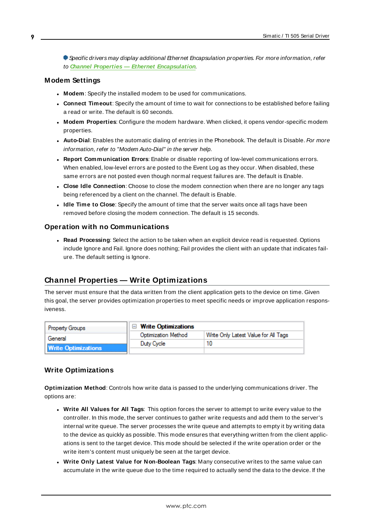Specific drivers may display additional Ethernet Encapsulation properties. For more information, refer to **Channel Properties — Ethernet Encapsulation**.

#### <span id="page-8-2"></span>**Modem Settings**

- **Modem**: Specify the installed modem to be used for communications.
- **Connect Timeout**: Specify the amount of time to wait for connections to be established before failing a read or write. The default is 60 seconds.
- <sup>l</sup> **Modem Properties**: Configure the modem hardware. When clicked, it opens vendor-specific modem properties.
- **Auto-Dial**: Enables the automatic dialing of entries in the Phonebook. The default is Disable. For more information, refer to "Modem Auto-Dial" in the server help.
- <sup>l</sup> **Report Communication Errors**: Enable or disable reporting of low-level communications errors. When enabled, low-level errors are posted to the Event Log as they occur. When disabled, these same errors are not posted even though normal request failures are. The default is Enable.
- **Close Idle Connection**: Choose to close the modem connection when there are no longer any tags being referenced by a client on the channel. The default is Enable.
- <sup>l</sup> **Idle Time to Close**: Specify the amount of time that the server waits once all tags have been removed before closing the modem connection. The default is 15 seconds.

#### <span id="page-8-1"></span>**Operation with no Communications**

**Read Processing**: Select the action to be taken when an explicit device read is requested. Options include Ignore and Fail. Ignore does nothing; Fail provides the client with an update that indicates failure. The default setting is Ignore.

#### <span id="page-8-0"></span>**Channel Properties — Write Optimizations**

The server must ensure that the data written from the client application gets to the device on time. Given this goal, the server provides optimization properties to meet specific needs or improve application responsiveness.

| <b>Property Groups</b>     | $\Box$ Write Optimizations |                                      |
|----------------------------|----------------------------|--------------------------------------|
| General                    | Optimization Method        | Write Only Latest Value for All Tags |
|                            | Duty Cycle                 |                                      |
| <b>Write Optimizations</b> |                            |                                      |

#### **Write Optimizations**

**Optimization Method**: Controls how write data is passed to the underlying communications driver. The options are:

- <sup>l</sup> **Write All Values for All Tags**: This option forces the server to attempt to write every value to the controller. In this mode, the server continues to gather write requests and add them to the server's internal write queue. The server processes the write queue and attempts to empty it by writing data to the device as quickly as possible. This mode ensures that everything written from the client applications is sent to the target device. This mode should be selected if the write operation order or the write item's content must uniquely be seen at the target device.
- <sup>l</sup> **Write Only Latest Value for Non-Boolean Tags**: Many consecutive writes to the same value can accumulate in the write queue due to the time required to actually send the data to the device. If the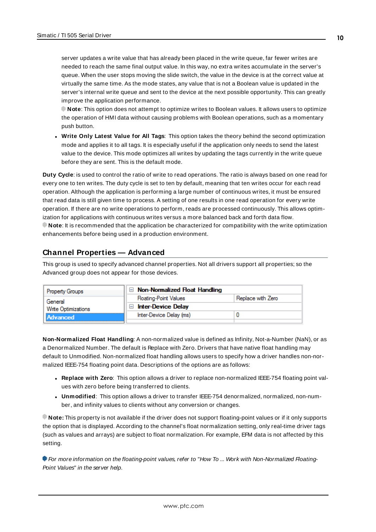server updates a write value that has already been placed in the write queue, far fewer writes are needed to reach the same final output value. In this way, no extra writes accumulate in the server's queue. When the user stops moving the slide switch, the value in the device is at the correct value at virtually the same time. As the mode states, any value that is not a Boolean value is updated in the server's internal write queue and sent to the device at the next possible opportunity. This can greatly improve the application performance.

**Note**: This option does not attempt to optimize writes to Boolean values. It allows users to optimize the operation of HMI data without causing problems with Boolean operations, such as a momentary push button.

**• Write Only Latest Value for All Tags**: This option takes the theory behind the second optimization mode and applies it to all tags. It is especially useful if the application only needs to send the latest value to the device. This mode optimizes all writes by updating the tags currently in the write queue before they are sent. This is the default mode.

**Duty Cycle**: is used to control the ratio of write to read operations. The ratio is always based on one read for every one to ten writes. The duty cycle is set to ten by default, meaning that ten writes occur for each read operation. Although the application is performing a large number of continuous writes, it must be ensured that read data is still given time to process. A setting of one results in one read operation for every write operation. If there are no write operations to perform, reads are processed continuously. This allows optimization for applications with continuous writes versus a more balanced back and forth data flow. **Note**: It is recommended that the application be characterized for compatibility with the write optimization enhancements before being used in a production environment.

### <span id="page-9-0"></span>**Channel Properties — Advanced**

This group is used to specify advanced channel properties. Not all drivers support all properties; so the Advanced group does not appear for those devices.

| <b>Property Groups</b>                        | $\Box$ Non-Normalized Float Handling |                   |
|-----------------------------------------------|--------------------------------------|-------------------|
| General                                       | <b>Floating-Point Values</b>         | Replace with Zero |
| <b>Write Optimizations</b><br><b>Advanced</b> | <b>Inter-Device Delay</b>            |                   |
|                                               | Inter-Device Delay (ms)              |                   |
|                                               |                                      |                   |

**Non-Normalized Float Handling**: A non-normalized value is defined as Infinity, Not-a-Number (NaN), or as a Denormalized Number. The default is Replace with Zero. Drivers that have native float handling may default to Unmodified. Non-normalized float handling allows users to specify how a driver handles non-normalized IEEE-754 floating point data. Descriptions of the options are as follows:

- <sup>l</sup> **Replace with Zero**: This option allows a driver to replace non-normalized IEEE-754 floating point values with zero before being transferred to clients.
- <sup>l</sup> **Unmodified**: This option allows a driver to transfer IEEE-754 denormalized, normalized, non-number, and infinity values to clients without any conversion or changes.

**Note:** This property is not available if the driver does not support floating-point values or if it only supports the option that is displayed. According to the channel's float normalization setting, only real-time driver tags (such as values and arrays) are subject to float normalization. For example, EFM data is not affected by this setting.

For more information on the floating-point values, refer to "How To ... Work with Non-Normalized Floating-Point Values" in the server help.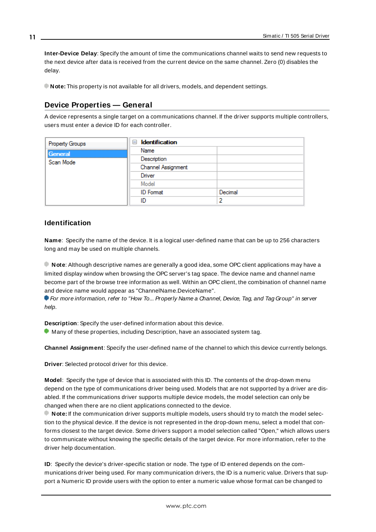**Inter-Device Delay**: Specify the amount of time the communications channel waits to send new requests to the next device after data is received from the current device on the same channel. Zero (0) disables the delay.

<span id="page-10-0"></span>**Note:** This property is not available for all drivers, models, and dependent settings.

### **Device Properties — General**

A device represents a single target on a communications channel. If the driver supports multiple controllers, users must enter a device ID for each controller.

| <b>Property Groups</b> | $\Box$ Identification |         |
|------------------------|-----------------------|---------|
| General                | Name                  |         |
| Scan Mode              | Description           |         |
|                        | Channel Assignment    |         |
|                        | Driver                |         |
|                        | Model                 |         |
|                        | <b>ID</b> Format      | Decimal |
|                        | ID                    |         |

#### <span id="page-10-4"></span>**Identification**

**Name**: Specify the name of the device. It is a logical user-defined name that can be up to 256 characters long and may be used on multiple channels.

**Note**: Although descriptive names are generally a good idea, some OPC client applications may have a limited display window when browsing the OPC server's tag space. The device name and channel name become part of the browse tree information as well. Within an OPC client, the combination of channel name and device name would appear as "ChannelName.DeviceName".

For more information, refer to "How To... Properly Name a Channel, Device, Tag, and Tag Group" in server help.

**Description**: Specify the user-defined information about this device.

<span id="page-10-1"></span> $\bullet$  Many of these properties, including Description, have an associated system tag.

<span id="page-10-2"></span>**Channel Assignment**: Specify the user-defined name of the channel to which this device currently belongs.

<span id="page-10-3"></span>**Driver**: Selected protocol driver for this device.

**Model**: Specify the type of device that is associated with this ID. The contents of the drop-down menu depend on the type of communications driver being used. Models that are not supported by a driver are disabled. If the communications driver supports multiple device models, the model selection can only be changed when there are no client applications connected to the device.

**Note:** If the communication driver supports multiple models, users should try to match the model selection to the physical device. If the device is not represented in the drop-down menu, select a model that conforms closest to the target device. Some drivers support a model selection called "Open," which allows users to communicate without knowing the specific details of the target device. For more information, refer to the driver help documentation.

**ID**: Specify the device's driver-specific station or node. The type of ID entered depends on the communications driver being used. For many communication drivers, the ID is a numeric value. Drivers that support a Numeric ID provide users with the option to enter a numeric value whose format can be changed to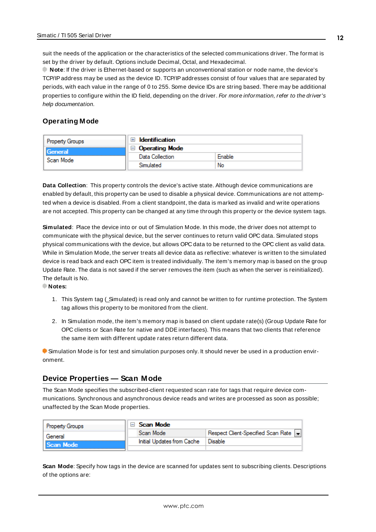<span id="page-11-3"></span>suit the needs of the application or the characteristics of the selected communications driver. The format is set by the driver by default. Options include Decimal, Octal, and Hexadecimal.

**Note**: If the driver is Ethernet-based or supports an unconventional station or node name, the device's TCP/IPaddress may be used as the device ID. TCP/IPaddresses consist of four values that are separated by periods, with each value in the range of 0 to 255. Some device IDs are string based. There may be additional properties to configure within the ID field, depending on the driver. For more information, refer to the driver's help documentation.

#### <span id="page-11-0"></span>**Operating Mode**

| <b>Property Groups</b> | <b>Identification</b> |        |
|------------------------|-----------------------|--------|
| General                | <b>Operating Mode</b> |        |
| Scan Mode              | Data Collection       | Enable |
|                        | Simulated             | No     |

<span id="page-11-2"></span>**Data Collection**: This property controls the device's active state. Although device communications are enabled by default, this property can be used to disable a physical device. Communications are not attempted when a device is disabled. From a client standpoint, the data is marked as invalid and write operations are not accepted. This property can be changed at any time through this property or the device system tags.

<span id="page-11-5"></span>**Simulated**: Place the device into or out of Simulation Mode. In this mode, the driver does not attempt to communicate with the physical device, but the server continues to return valid OPC data. Simulated stops physical communications with the device, but allows OPC data to be returned to the OPC client as valid data. While in Simulation Mode, the server treats all device data as reflective: whatever is written to the simulated device is read back and each OPC item is treated individually. The item's memory map is based on the group Update Rate. The data is not saved if the server removes the item (such as when the server is reinitialized). The default is No.

**Notes:**

- 1. This System tag (\_Simulated) is read only and cannot be written to for runtime protection. The System tag allows this property to be monitored from the client.
- 2. In Simulation mode, the item's memory map is based on client update rate(s) (Group Update Rate for OPC clients or Scan Rate for native and DDEinterfaces). This means that two clients that reference the same item with different update rates return different data.

 Simulation Mode is for test and simulation purposes only. It should never be used in a production environment.

#### <span id="page-11-1"></span>**Device Properties — Scan Mode**

The Scan Mode specifies the subscribed-client requested scan rate for tags that require device communications. Synchronous and asynchronous device reads and writes are processed as soon as possible; unaffected by the Scan Mode properties.

| <b>Property Groups</b> | ⊟ Scan Mode                |                                       |
|------------------------|----------------------------|---------------------------------------|
| General                | Scan Mode                  | Respect Client-Specified Scan Rate  - |
| Scan Mode              | Initial Updates from Cache | Disable                               |
|                        |                            |                                       |

<span id="page-11-4"></span>**Scan Mode**: Specify how tags in the device are scanned for updates sent to subscribing clients. Descriptions of the options are: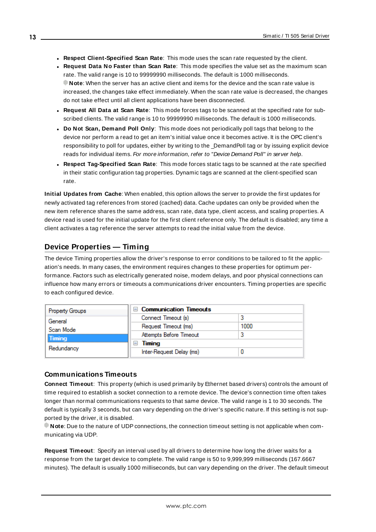- <sup>l</sup> **Respect Client-Specified Scan Rate**: This mode uses the scan rate requested by the client.
- <sup>l</sup> **Request Data No Faster than Scan Rate**: This mode specifies the value set as the maximum scan rate. The valid range is 10 to 99999990 milliseconds. The default is 1000 milliseconds. **Note**: When the server has an active client and items for the device and the scan rate value is increased, the changes take effect immediately. When the scan rate value is decreased, the changes do not take effect until all client applications have been disconnected.
- <sup>l</sup> **Request All Data at Scan Rate**: This mode forces tags to be scanned at the specified rate for subscribed clients. The valid range is 10 to 99999990 milliseconds. The default is 1000 milliseconds.
- <span id="page-12-3"></span><sup>l</sup> **Do Not Scan, Demand Poll Only**: This mode does not periodically poll tags that belong to the device nor perform a read to get an item's initial value once it becomes active. It is the OPC client's responsibility to poll for updates, either by writing to the \_DemandPoll tag or by issuing explicit device reads for individual items. For more information, refer to "Device Demand Poll" in server help.
- <span id="page-12-5"></span><sup>l</sup> **Respect Tag-Specified Scan Rate**: This mode forces static tags to be scanned at the rate specified in their static configuration tag properties. Dynamic tags are scanned at the client-specified scan rate.

<span id="page-12-4"></span>**Initial Updates from Cache**: When enabled, this option allows the server to provide the first updates for newly activated tag references from stored (cached) data. Cache updates can only be provided when the new item reference shares the same address, scan rate, data type, client access, and scaling properties. A device read is used for the initial update for the first client reference only. The default is disabled; any time a client activates a tag reference the server attempts to read the initial value from the device.

## <span id="page-12-1"></span><span id="page-12-0"></span>**Device Properties — Timing**

The device Timing properties allow the driver's response to error conditions to be tailored to fit the application's needs. In many cases, the environment requires changes to these properties for optimum performance. Factors such as electrically generated noise, modem delays, and poor physical connections can influence how many errors or timeouts a communications driver encounters. Timing properties are specific to each configured device.

| <b>Property Groups</b> | <b>Communication Timeouts</b><br>$\blacksquare$ |      |
|------------------------|-------------------------------------------------|------|
| General                | Connect Timeout (s)                             |      |
| Scan Mode              | Request Timeout (ms)                            | 1000 |
| <b>Timing</b>          | Attempts Before Timeout                         |      |
| Redundancy             | Timing<br>-                                     |      |
|                        | Inter-Request Delay (ms)                        |      |

#### <span id="page-12-2"></span>**Communications Timeouts**

**Connect Timeout**: This property (which is used primarily by Ethernet based drivers) controls the amount of time required to establish a socket connection to a remote device. The device's connection time often takes longer than normal communications requests to that same device. The valid range is 1 to 30 seconds. The default is typically 3 seconds, but can vary depending on the driver's specific nature. If this setting is not supported by the driver, it is disabled.

**Note**: Due to the nature of UDPconnections, the connection timeout setting is not applicable when communicating via UDP.

**Request Timeout**: Specify an interval used by all drivers to determine how long the driver waits for a response from the target device to complete. The valid range is 50 to 9,999,999 milliseconds (167.6667 minutes). The default is usually 1000 milliseconds, but can vary depending on the driver. The default timeout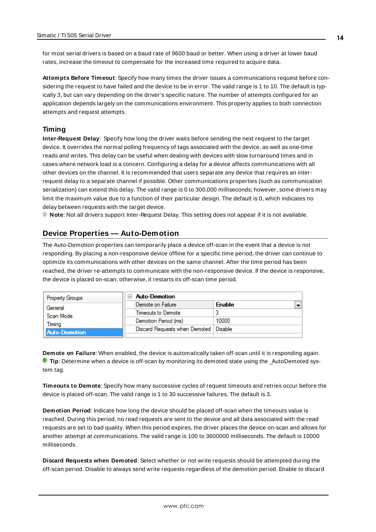<span id="page-13-5"></span>for most serial drivers is based on a baud rate of 9600 baud or better. When using a driver at lower baud rates, increase the timeout to compensate for the increased time required to acquire data.

<span id="page-13-1"></span>**Attempts Before Timeout**: Specify how many times the driver issues a communications request before considering the request to have failed and the device to be in error. The valid range is 1 to 10. The default is typically 3, but can vary depending on the driver's specific nature. The number of attempts configured for an application depends largely on the communications environment. This property applies to both connection attempts and request attempts.

#### <span id="page-13-4"></span>**Timing**

**Inter-Request Delay**: Specify how long the driver waits before sending the next request to the target device. It overrides the normal polling frequency of tags associated with the device, as well as one-time reads and writes. This delay can be useful when dealing with devices with slow turnaround times and in cases where network load is a concern. Configuring a delay for a device affects communications with all other devices on the channel. It is recommended that users separate any device that requires an interrequest delay to a separate channel if possible. Other communications properties (such as communication serialization) can extend this delay. The valid range is 0 to 300,000 milliseconds; however, some drivers may limit the maximum value due to a function of their particular design. The default is 0, which indicates no delay between requests with the target device.

<span id="page-13-0"></span>**Note**: Not all drivers support Inter-Request Delay. This setting does not appear if it is not available.

#### **Device Properties — Auto-Demotion**

The Auto-Demotion properties can temporarily place a device off-scan in the event that a device is not responding. By placing a non-responsive device offline for a specific time period, the driver can continue to optimize its communications with other devices on the same channel. After the time period has been reached, the driver re-attempts to communicate with the non-responsive device. If the device is responsive, the device is placed on-scan; otherwise, it restarts its off-scan time period.

| <b>Property Groups</b> | <b>Auto-Demotion</b>                    |                                           |
|------------------------|-----------------------------------------|-------------------------------------------|
| General                | Demote on Failure                       | $\overline{\phantom{0}}$<br><b>Enable</b> |
| Scan Mode              | Timeouts to Demote                      |                                           |
| Timina                 | Demotion Period (ms)                    | 10000                                     |
| Auto-Demotion          | Discard Requests when Demoted   Disable |                                           |
|                        |                                         |                                           |

<span id="page-13-2"></span>**Demote on Failure**: When enabled, the device is automatically taken off-scan until it is responding again. **Tip:** Determine when a device is off-scan by monitoring its demoted state using the \_AutoDemoted system tag.

<span id="page-13-6"></span>**Timeouts to Demote**: Specify how many successive cycles of request timeouts and retries occur before the device is placed off-scan. The valid range is 1 to 30 successive failures. The default is 3.

<span id="page-13-3"></span>**Demotion Period**: Indicate how long the device should be placed off-scan when the timeouts value is reached. During this period, no read requests are sent to the device and all data associated with the read requests are set to bad quality. When this period expires, the driver places the device on-scan and allows for another attempt at communications. The valid range is 100 to 3600000 milliseconds. The default is 10000 milliseconds.

**Discard Requests when Demoted**: Select whether or not write requests should be attempted during the off-scan period. Disable to always send write requests regardless of the demotion period. Enable to discard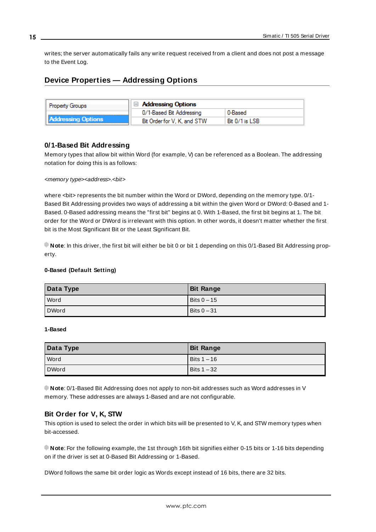<span id="page-14-1"></span>writes; the server automatically fails any write request received from a client and does not post a message to the Event Log.

## <span id="page-14-0"></span>**Device Properties — Addressing Options**

| <b>Property Groups</b>    | □ Addressing Options        |                |
|---------------------------|-----------------------------|----------------|
|                           | 0/1-Based Bit Addressing    | 0-Based        |
| <b>Addressing Options</b> | Bit Order for V. K. and STW | Bit 0/1 is LSB |

#### **0/1-Based Bit Addressing**

Memory types that allow bit within Word (for example, V) can be referenced as a Boolean. The addressing notation for doing this is as follows:

#### <memory type><address>.<br/>.<br/>hit>

where <br/>bit> represents the bit number within the Word or DWord, depending on the memory type. 0/1-Based Bit Addressing provides two ways of addressing a bit within the given Word or DWord: 0-Based and 1- Based. 0-Based addressing means the "first bit" begins at 0. With 1-Based, the first bit begins at 1. The bit order for the Word or DWord is irrelevant with this option. In other words, it doesn't matter whether the first bit is the Most Significant Bit or the Least Significant Bit.

**Note**: In this driver, the first bit will either be bit 0 or bit 1 depending on this 0/1-Based Bit Addressing property.

#### **0-Based (Default Setting)**

| Data Type    | <b>Bit Range</b> |
|--------------|------------------|
| l Word       | Bits $0 - 15$    |
| <b>DWord</b> | Bits $0 - 31$    |

#### **1-Based**

| Data Type | <b>Bit Range</b> |
|-----------|------------------|
| Word      | Bits 1 - 16      |
| DWord     | l Bits 1 – 32    |

**Note**: 0/1-Based Bit Addressing does not apply to non-bit addresses such as Word addresses in V memory. These addresses are always 1-Based and are not configurable.

#### **Bit Order for V, K, STW**

This option is used to select the order in which bits will be presented to V, K, and STW memory types when bit-accessed.

**Note**: For the following example, the 1st through 16th bit signifies either 0-15 bits or 1-16 bits depending on if the driver is set at 0-Based Bit Addressing or 1-Based.

DWord follows the same bit order logic as Words except instead of 16 bits, there are 32 bits.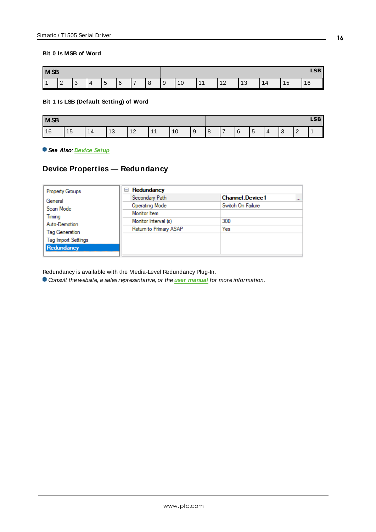#### **Bit 0 Is MSB of Word**

| M <sub>SB</sub> |             |             | <b>LSB</b> |                       |               |   |   |     |    |         |    |               |    |                                                   |    |
|-----------------|-------------|-------------|------------|-----------------------|---------------|---|---|-----|----|---------|----|---------------|----|---------------------------------------------------|----|
|                 | $\sim$<br>∠ | $\sim$<br>ັ | 4          | $\overline{ }$<br>. ა | <b>G</b><br>U | ⇁ | 8 | l 9 | 10 | 44<br>. | 12 | $\sim$<br>ں ا | 14 | $\overline{A}$<br>$\overline{\phantom{a}}$<br>ں ا | 16 |

#### **Bit 1 Is LSB (Default Setting) of Word**

| <b>MSB</b> |    |    |           |                      |     |    |     |   |   |   |                          | <b>LSB</b> |                 |   |  |
|------------|----|----|-----------|----------------------|-----|----|-----|---|---|---|--------------------------|------------|-----------------|---|--|
| 16         | 15 | 14 | 12<br>⊣ ບ | 10<br>$\overline{2}$ | . . | 10 | l 9 | 8 | - | 6 | $\overline{ }$<br>∽<br>ັ | $\Delta$   | $\sqrt{2}$<br>ັ | - |  |

### <span id="page-15-0"></span>**See Also**: **[Device](#page-4-0) Setup**

### **Device Properties — Redundancy**

| <b>Property Groups</b>     | Redundancy<br>$=$      |                                    |
|----------------------------|------------------------|------------------------------------|
| General                    | Secondary Path         | <b>Channel Device1</b><br>$\cdots$ |
| Scan Mode                  | <b>Operating Mode</b>  | Switch On Failure                  |
| Timing                     | Monitor Item           |                                    |
| Auto-Demotion              | Monitor Interval (s)   | 300                                |
| Tag Generation             | Return to Primary ASAP | Yes                                |
| <b>Tag Import Settings</b> |                        |                                    |
| Redundancy                 |                        |                                    |

Redundancy is available with the Media-Level Redundancy Plug-In.

Consult the website, a sales representative, or the **user [manual](https://www.kepware.com/getattachment/35461efd-b53a-4219-a109-a89fad20b230/media-level-redundancy-manual.pdf)** for more information.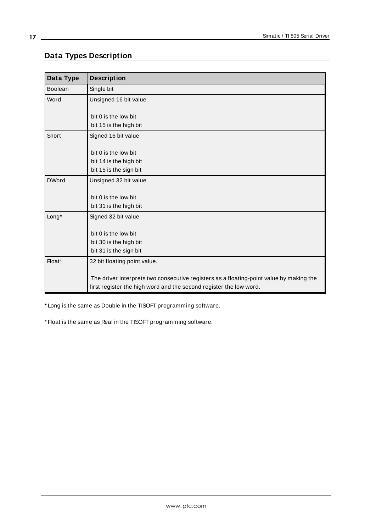## <span id="page-16-0"></span>**Data Types Description**

<span id="page-16-6"></span><span id="page-16-5"></span><span id="page-16-2"></span><span id="page-16-1"></span>

| Data Type      | <b>Description</b>                                                                                                                                            |
|----------------|---------------------------------------------------------------------------------------------------------------------------------------------------------------|
| <b>Boolean</b> | Single bit                                                                                                                                                    |
| Word           | Unsigned 16 bit value                                                                                                                                         |
|                | bit 0 is the low bit                                                                                                                                          |
|                | bit 15 is the high bit                                                                                                                                        |
| Short          | Signed 16 bit value                                                                                                                                           |
|                | bit 0 is the low bit                                                                                                                                          |
|                | bit 14 is the high bit                                                                                                                                        |
|                | bit 15 is the sign bit                                                                                                                                        |
| <b>DWord</b>   | Unsigned 32 bit value                                                                                                                                         |
|                | bit 0 is the low bit                                                                                                                                          |
|                | bit 31 is the high bit                                                                                                                                        |
| Long*          | Signed 32 bit value                                                                                                                                           |
|                | bit 0 is the low bit                                                                                                                                          |
|                | bit 30 is the high bit                                                                                                                                        |
|                | bit 31 is the sign bit                                                                                                                                        |
| Float*         | 32 bit floating point value.                                                                                                                                  |
|                | The driver interprets two consecutive registers as a floating-point value by making the<br>first register the high word and the second register the low word. |

<span id="page-16-4"></span><span id="page-16-3"></span>\* Long is the same as Double in the TISOFT programming software.

\* Float is the same as Real in the TISOFT programming software.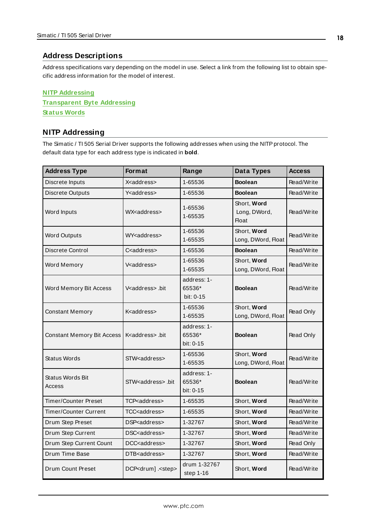#### <span id="page-17-0"></span>**Address Descriptions**

Address specifications vary depending on the model in use. Select a link from the following list to obtain specific address information for the model of interest.

**NITP [Addressing](#page-17-1) [Transparent](#page-18-0) Byte Addressing [Status](#page-19-0) Words**

## <span id="page-17-1"></span>**NITP Addressing**

The Simatic / TI 505 Serial Driver supports the following addresses when using the NITP protocol. The default data type for each address type is indicated in **bold**.

| <b>Address Type</b>               | <b>Format</b>                     | Range                              | Data Types                                  | <b>Access</b> |
|-----------------------------------|-----------------------------------|------------------------------------|---------------------------------------------|---------------|
| Discrete Inputs                   | X <address></address>             | 1-65536                            | <b>Boolean</b>                              | Read/Write    |
| Discrete Outputs                  | Y <address></address>             | 1-65536                            | <b>Boolean</b>                              | Read/Write    |
| Word Inputs                       | WX <address></address>            | 1-65536<br>1-65535                 | Short, Word<br>Long, DWord,<br><b>Float</b> | Read/Write    |
| <b>Word Outputs</b>               | WY <address></address>            | 1-65536<br>1-65535                 | Short, Word<br>Long, DWord, Float           | Read/Write    |
| Discrete Control                  | C <address></address>             | 1-65536                            | <b>Boolean</b>                              | Read/Write    |
| Word Memory                       | V <address></address>             | 1-65536<br>1-65535                 | Short, Word<br>Long, DWord, Float           | Read/Write    |
| Word Memory Bit Access            | V <address>.bit</address>         | address: 1-<br>65536*<br>bit: 0-15 | <b>Boolean</b>                              | Read/Write    |
| Constant Memory                   | K <address></address>             | 1-65536<br>1-65535                 | Short, Word<br>Long, DWord, Float           | Read Only     |
| <b>Constant Memory Bit Access</b> | K <address>.bit</address>         | address: 1-<br>65536*<br>bit: 0-15 | <b>Boolean</b>                              | Read Only     |
| <b>Status Words</b>               | STW <address></address>           | 1-65536<br>1-65535                 | Short, Word<br>Long, DWord, Float           | Read/Write    |
| <b>Status Words Bit</b><br>Access | STW <address>.bit</address>       | address: 1-<br>65536*<br>bit: 0-15 | <b>Boolean</b>                              | Read/Write    |
| Timer/Counter Preset              | TCP <address></address>           | 1-65535                            | Short, Word                                 | Read/Write    |
| Timer/Counter Current             | TCC <address></address>           | 1-65535                            | Short, Word                                 | Read/Write    |
| Drum Step Preset                  | DSP <address></address>           | 1-32767                            | Short, Word                                 | Read/Write    |
| Drum Step Current                 | DSC <address></address>           | 1-32767                            | Short, Word                                 | Read/Write    |
| Drum Step Current Count           | DCC <address></address>           | 1-32767                            | Short, Word                                 | Read Only     |
| Drum Time Base                    | DTB <address></address>           | 1-32767                            | Short, Word                                 | Read/Write    |
| Drum Count Preset                 | DCP <drum] .<="" step=""></drum]> | drum 1-32767<br>step 1-16          | Short, <b>Word</b>                          | Read/Write    |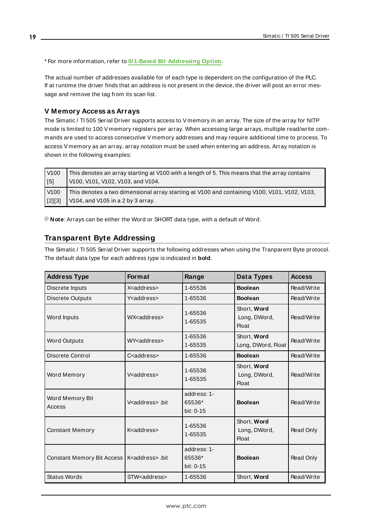\* For more information, refer to **0/1-Based Bit [Addressing](#page-14-0) Option**.

The actual number of addresses available for of each type is dependent on the configuration of the PLC. If at runtime the driver finds that an address is not present in the device, the driver will post an error message and remove the tag from its scan list.

#### **V Memory Access as Arrays**

The Simatic / TI 505 Serial Driver supports access to V memory in an array. The size of the array for NITP mode is limited to 100 V memory registers per array. When accessing large arrays, multiple read/write commands are used to access consecutive V memory addresses and may require additional time to process. To access V memory as an array, array notation must be used when entering an address. Array notation is shown in the following examples:

| V100             | This denotes an array starting at V100 with a length of 5. This means that the array contains |
|------------------|-----------------------------------------------------------------------------------------------|
| $\sqrt{5}$       | V100, V101, V102, V103, and V104.                                                             |
| V <sub>100</sub> | This denotes a two dimensional array starting at V100 and containing V100, V101, V102, V103,  |
| $[2][3]$         | V104, and V105 in a 2 by 3 array.                                                             |

<span id="page-18-0"></span>**Note**: Arrays can be either the Word or SHORT data type, with a default of Word.

### **Transparent Byte Addressing**

The Simatic / TI 505 Serial Driver supports the following addresses when using the Tranparent Byte protocol. The default data type for each address type is indicated in **bold**.

| <b>Address Type</b>        | <b>Format</b>             | Range                                | Data Types                                  | <b>Access</b> |
|----------------------------|---------------------------|--------------------------------------|---------------------------------------------|---------------|
| Discrete Inputs            | X <address></address>     | 1-65536                              | <b>Boolean</b>                              | Read/Write    |
| <b>Discrete Outputs</b>    | Y <address></address>     | 1-65536                              | <b>Boolean</b>                              | Read/Write    |
| Word Inputs                | WX <address></address>    | 1-65536<br>1-65535                   | Short, Word<br>Long, DWord,<br><b>Float</b> | Read/Write    |
| <b>Word Outputs</b>        | WY <address></address>    | 1-65536<br>1-65535                   | Short, Word<br>Long, DWord, Float           | Read/Write    |
| Discrete Control           | C <address></address>     | 1-65536                              | <b>Boolean</b>                              | Read/Write    |
| Word Memory                | V <address></address>     | 1-65536<br>1-65535                   | Short, Word<br>Long, DWord,<br><b>Float</b> | Read/Write    |
| Word Memory Bit<br>Access  | V <address>.bit</address> | address: 1-<br>65536*<br>bit: $0-15$ | <b>Boolean</b>                              | Read/Write    |
| <b>Constant Memory</b>     | K <address></address>     | 1-65536<br>1-65535                   | Short, Word<br>Long, DWord,<br><b>Float</b> | Read Only     |
| Constant Memory Bit Access | K <address>.bit</address> | address: 1-<br>65536*<br>bit: 0-15   | <b>Boolean</b>                              | Read Only     |
| <b>Status Words</b>        | STW <address></address>   | 1-65536                              | Short, Word                                 | Read/Write    |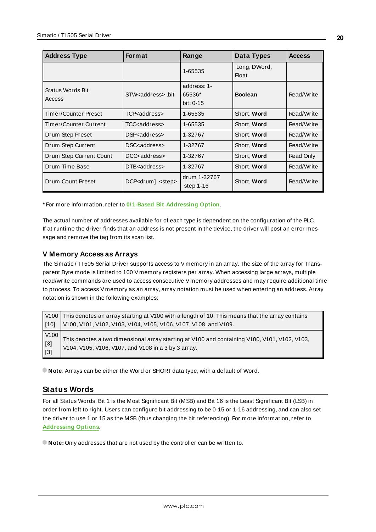| <b>Address Type</b>        | <b>Format</b>                 | Range                              | Data Types                   | <b>Access</b> |
|----------------------------|-------------------------------|------------------------------------|------------------------------|---------------|
|                            |                               | 1-65535                            | Long, DWord,<br><b>Float</b> |               |
| Status Words Bit<br>Access | STW <address> .bit</address>  | address: 1-<br>65536*<br>bit: 0-15 | <b>Boolean</b>               | Read/Write    |
| Timer/Counter Preset       | TCP <address></address>       | 1-65535                            | Short, Word                  | Read/Write    |
| Timer/Counter Current      | TCC <address></address>       | 1-65535                            | Short, Word                  | Read/Write    |
| Drum Step Preset           | DSP <address></address>       | 1-32767                            | Short, Word                  | Read/Write    |
| Drum Step Current          | DSC <address></address>       | 1-32767                            | Short, Word                  | Read/Write    |
| Drum Step Current Count    | DCC <address></address>       | 1-32767                            | Short, Word                  | Read Only     |
| Drum Time Base             | DTB address >                 | 1-32767                            | Short, Word                  | Read/Write    |
| Drum Count Preset          | DCP <drum] .<step=""></drum]> | drum 1-32767<br>step $1-16$        | Short, Word                  | Read/Write    |

\* For more information, refer to **0/1-Based Bit [Addressing](#page-14-0) Option**.

The actual number of addresses available for of each type is dependent on the configuration of the PLC. If at runtime the driver finds that an address is not present in the device, the driver will post an error message and remove the tag from its scan list.

#### **V Memory Access as Arrays**

The Simatic / TI 505 Serial Driver supports access to V memory in an array. The size of the array for Transparent Byte mode is limited to 100 V memory registers per array. When accessing large arrays, multiple read/write commands are used to access consecutive V memory addresses and may require additional time to process. To access V memory as an array, array notation must be used when entering an address. Array notation is shown in the following examples:

|                                                | $\sqrt{100}$ This denotes an array starting at V100 with a length of 10. This means that the array contains                                         |
|------------------------------------------------|-----------------------------------------------------------------------------------------------------------------------------------------------------|
| 1101 ا                                         | V100, V101, V102, V103, V104, V105, V106, V107, V108, and V109.                                                                                     |
| V100<br>$\begin{bmatrix} 3 \\ 3 \end{bmatrix}$ | This denotes a two dimensional array starting at V100 and containing V100, V101, V102, V103,<br>V104, V105, V106, V107, and V108 in a 3 by 3 array. |

<span id="page-19-0"></span>**Note**: Arrays can be either the Word or SHORT data type, with a default of Word.

#### **Status Words**

For all Status Words, Bit 1 is the Most Significant Bit (MSB) and Bit 16 is the Least Significant Bit (LSB) in order from left to right. Users can configure bit addressing to be 0-15 or 1-16 addressing, and can also set the driver to use 1 or 15 as the MSB (thus changing the bit referencing). For more information, refer to **[Addressing](#page-14-0) Options**.

**Note:** Only addresses that are not used by the controller can be written to.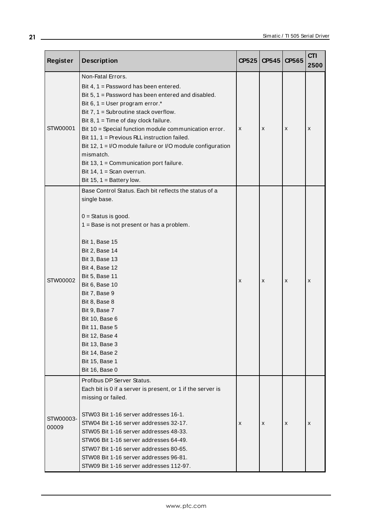| Register           | <b>Description</b>                                                                                                                                                                                                                                                                                                                                                                                                                                                                                                                         |   | $CP525$ $CP545$ | CP565 | <b>CTI</b><br>2500 |
|--------------------|--------------------------------------------------------------------------------------------------------------------------------------------------------------------------------------------------------------------------------------------------------------------------------------------------------------------------------------------------------------------------------------------------------------------------------------------------------------------------------------------------------------------------------------------|---|-----------------|-------|--------------------|
| STW00001           | Non-Fatal Errors.<br>Bit 4, 1 = Password has been entered.<br>Bit $5, 1$ = Password has been entered and disabled.<br>Bit 6, 1 = User program error. $*$<br>Bit $7, 1$ = Subroutine stack overflow.<br>Bit $8, 1$ = Time of day clock failure.<br>Bit 10 = Special function module communication error.<br>Bit 11, 1 = Previous RLL instruction failed.<br>Bit 12, 1 = I/O module failure or I/O module configuration<br>mismatch.<br>Bit 13, 1 = Communication port failure.<br>Bit 14, $1 =$ Scan overrun.<br>Bit 15, $1 =$ Battery low. | X | X               | x     | x                  |
| STW00002           | Base Control Status. Each bit reflects the status of a<br>single base.<br>$0 =$ Status is good.<br>1 = Base is not present or has a problem.<br><b>Bit 1, Base 15</b><br>Bit 2, Base 14<br><b>Bit 3, Base 13</b><br><b>Bit 4, Base 12</b><br><b>Bit 5, Base 11</b><br>Bit 6, Base 10<br>Bit 7, Base 9<br>Bit 8, Base 8<br>Bit 9, Base 7<br>Bit 10, Base 6<br>Bit 11, Base 5<br>Bit 12, Base 4<br>Bit 13, Base 3<br>Bit 14, Base 2<br>Bit 15, Base 1<br>Bit 16, Base 0                                                                      | X | X               | х     | x                  |
| STW00003-<br>00009 | Profibus DP Server Status.<br>Each bit is 0 if a server is present, or 1 if the server is<br>missing or failed.<br>STW03 Bit 1-16 server addresses 16-1.<br>STW04 Bit 1-16 server addresses 32-17.<br>STW05 Bit 1-16 server addresses 48-33.<br>STW06 Bit 1-16 server addresses 64-49.<br>STW07 Bit 1-16 server addresses 80-65.<br>STW08 Bit 1-16 server addresses 96-81.<br>STW09 Bit 1-16 server addresses 112-97.                                                                                                                      | X | X               | x     | x                  |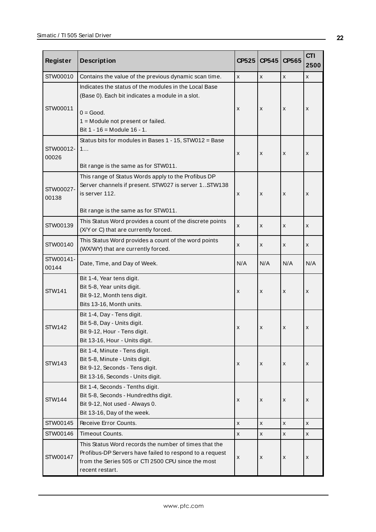| <b>Register</b>    | <b>Description</b>                                                                                                                                                                                | CP525          | CP545 | CP565              | <b>CTI</b><br>2500 |
|--------------------|---------------------------------------------------------------------------------------------------------------------------------------------------------------------------------------------------|----------------|-------|--------------------|--------------------|
| STW00010           | Contains the value of the previous dynamic scan time.                                                                                                                                             | $\pmb{\times}$ | x     | $\pmb{\mathsf{x}}$ | X                  |
| STW00011           | Indicates the status of the modules in the Local Base<br>(Base 0). Each bit indicates a module in a slot.<br>$0 = Good.$<br>1 = Module not present or failed.<br>Bit $1 - 16 =$ Module $16 - 1$ . | x              | x     | X                  | x                  |
| STW00012-<br>00026 | Status bits for modules in Bases 1 - 15, STW012 = Base<br>1<br>Bit range is the same as for STW011.                                                                                               | X              | x     | X                  | x                  |
| STW00027-<br>00138 | This range of Status Words apply to the Profibus DP<br>Server channels if present. STW027 is server 1 STW138<br>is server 112.<br>Bit range is the same as for STW011.                            | x              | x     | X                  | x                  |
| STW00139           | This Status Word provides a count of the discrete points<br>(X/Y or C) that are currently forced.                                                                                                 | X              | x     | X                  | x                  |
| STW00140           | This Status Word provides a count of the word points<br>(WX/WY) that are currently forced.                                                                                                        | X              | x     | x                  | x                  |
| STW00141-<br>00144 | Date, Time, and Day of Week.                                                                                                                                                                      | N/A            | N/A   | N/A                | N/A                |
| <b>STW141</b>      | Bit 1-4, Year tens digit.<br>Bit 5-8, Year units digit.<br>Bit 9-12, Month tens digit.<br>Bits 13-16, Month units.                                                                                | X              | x     | X                  | x                  |
| <b>STW142</b>      | Bit 1-4, Day - Tens digit.<br>Bit 5-8, Day - Units digit.<br>Bit 9-12, Hour - Tens digit.<br>Bit 13-16, Hour - Units digit.                                                                       | x              | x     | x                  | x                  |
| <b>STW143</b>      | Bit 1-4, Minute - Tens digit.<br>Bit 5-8, Minute - Units digit.<br>Bit 9-12, Seconds - Tens digit.<br>Bit 13-16, Seconds - Units digit.                                                           | X              | x     | X                  | X                  |
| <b>STW144</b>      | Bit 1-4, Seconds - Tenths digit.<br>Bit 5-8, Seconds - Hundredths digit.<br>Bit 9-12, Not used - Always 0.<br>Bit 13-16, Day of the week.                                                         | X              | x     | X                  | x                  |
| STW00145           | Receive Error Counts.                                                                                                                                                                             | X              | x     | X                  | x                  |
| STW00146           | Timeout Counts.                                                                                                                                                                                   | X              | X     | X                  | x                  |
| STW00147           | This Status Word records the number of times that the<br>Profibus-DP Servers have failed to respond to a request<br>from the Series 505 or CTI 2500 CPU since the most<br>recent restart.         | x              | x     | X                  | x                  |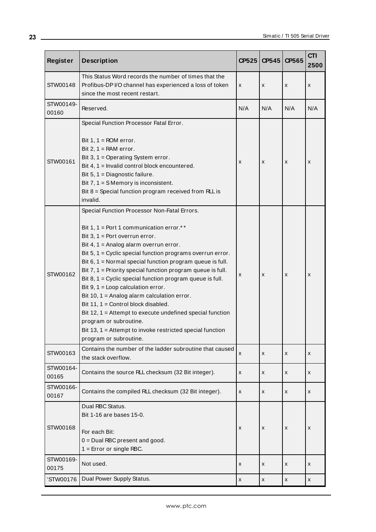| Register           | <b>Description</b>                                                                                                                                                                                                                                                                                                                                                                                                                                                                                                                                                                                                                                                                                                                                | CP525 | CP545 | CP565 | <b>CTI</b><br>2500 |
|--------------------|---------------------------------------------------------------------------------------------------------------------------------------------------------------------------------------------------------------------------------------------------------------------------------------------------------------------------------------------------------------------------------------------------------------------------------------------------------------------------------------------------------------------------------------------------------------------------------------------------------------------------------------------------------------------------------------------------------------------------------------------------|-------|-------|-------|--------------------|
| STW00148           | This Status Word records the number of times that the<br>Profibus-DP I/O channel has experienced a loss of token<br>since the most recent restart.                                                                                                                                                                                                                                                                                                                                                                                                                                                                                                                                                                                                | X     | X     | x     | x                  |
| STW00149-<br>00160 | Reserved.                                                                                                                                                                                                                                                                                                                                                                                                                                                                                                                                                                                                                                                                                                                                         | N/A   | N/A   | N/A   | N/A                |
| STW00161           | Special Function Processor Fatal Error.<br>Bit $1, 1 = ROM error$ .<br>Bit $2, 1 = RAM error$ .<br>Bit 3, $1 =$ Operating System error.<br>Bit 4, 1 = Invalid control block encountered.<br>Bit $5, 1 =$ Diagnostic failure.<br>Bit $7, 1 = S$ Memory is inconsistent.<br>Bit $8 =$ Special function program received from RLL is<br>invalid.                                                                                                                                                                                                                                                                                                                                                                                                     | X     | X     | x     | x                  |
| STW00162           | Special Function Processor Non-Fatal Errors.<br>Bit 1, 1 = Port 1 communication error.**<br>Bit $3, 1$ = Port overrun error.<br>Bit 4, $1 =$ Analog alarm overrun error.<br>Bit 5, 1 = Cyclic special function programs overrun error.<br>Bit $6, 1$ = Normal special function program queue is full.<br>Bit $7, 1$ = Priority special function program queue is full.<br>Bit $8, 1$ = Cyclic special function program queue is full.<br>Bit $9, 1 =$ Loop calculation error.<br>Bit 10, 1 = Analog alarm calculation error.<br>Bit 11, 1 = Control block disabled.<br>Bit 12, 1 = Attempt to execute undefined special function<br>program or subroutine.<br>Bit 13, 1 = Attempt to invoke restricted special function<br>program or subroutine. | x     | X     | x     | x                  |
| STW00163           | Contains the number of the ladder subroutine that caused<br>the stack overflow.                                                                                                                                                                                                                                                                                                                                                                                                                                                                                                                                                                                                                                                                   | X     | X     | X     | x                  |
| STW00164-<br>00165 | Contains the source RLL checksum (32 Bit integer).                                                                                                                                                                                                                                                                                                                                                                                                                                                                                                                                                                                                                                                                                                | X     | X     | x     | x                  |
| STW00166-<br>00167 | Contains the compiled RLL checksum (32 Bit integer).                                                                                                                                                                                                                                                                                                                                                                                                                                                                                                                                                                                                                                                                                              | x     | x     | x     | x                  |
| STW00168           | Dual RBC Status.<br>Bit 1-16 are bases 15-0.<br>For each Bit:<br>$0 =$ Dual RBC present and good.<br>$1 =$ Error or single RBC.                                                                                                                                                                                                                                                                                                                                                                                                                                                                                                                                                                                                                   | x     | X     | X     | x                  |
| STW00169-<br>00175 | Not used.                                                                                                                                                                                                                                                                                                                                                                                                                                                                                                                                                                                                                                                                                                                                         | x     | X     | x     | x                  |
| 'STW00176          | Dual Power Supply Status.                                                                                                                                                                                                                                                                                                                                                                                                                                                                                                                                                                                                                                                                                                                         | x     | X     | x     | x                  |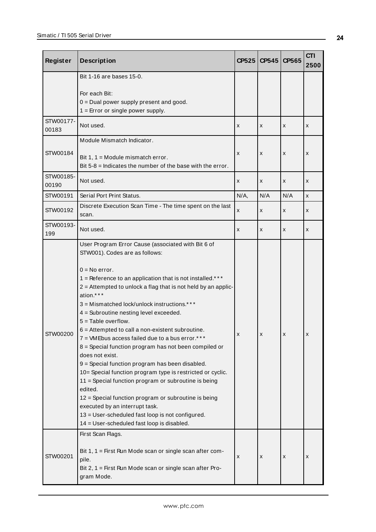| <b>Register</b>    | <b>Description</b>                                                                                                                                                                                                                                                                                                                                                                                                                                                                                                                                                                                                                                                                                                                                                                                                                                                                                                                       | <b>CP525</b> | CP545 | CP565 | <b>CTI</b><br>2500 |
|--------------------|------------------------------------------------------------------------------------------------------------------------------------------------------------------------------------------------------------------------------------------------------------------------------------------------------------------------------------------------------------------------------------------------------------------------------------------------------------------------------------------------------------------------------------------------------------------------------------------------------------------------------------------------------------------------------------------------------------------------------------------------------------------------------------------------------------------------------------------------------------------------------------------------------------------------------------------|--------------|-------|-------|--------------------|
|                    | Bit 1-16 are bases 15-0.<br>For each Bit:<br>$0 =$ Dual power supply present and good.<br>$1 =$ Error or single power supply.                                                                                                                                                                                                                                                                                                                                                                                                                                                                                                                                                                                                                                                                                                                                                                                                            |              |       |       |                    |
| STW00177-<br>00183 | Not used.                                                                                                                                                                                                                                                                                                                                                                                                                                                                                                                                                                                                                                                                                                                                                                                                                                                                                                                                | X            | x     | X     | x                  |
| STW00184           | Module Mismatch Indicator.<br>Bit $1, 1 =$ Module mismatch error.<br>Bit $5-8$ = Indicates the number of the base with the error.                                                                                                                                                                                                                                                                                                                                                                                                                                                                                                                                                                                                                                                                                                                                                                                                        | X            | x     | x     | X                  |
| STW00185-<br>00190 | Not used.                                                                                                                                                                                                                                                                                                                                                                                                                                                                                                                                                                                                                                                                                                                                                                                                                                                                                                                                | X            | x     | X     | x                  |
| STW00191           | Serial Port Print Status.                                                                                                                                                                                                                                                                                                                                                                                                                                                                                                                                                                                                                                                                                                                                                                                                                                                                                                                | $N/A$ ,      | N/A   | N/A   | X                  |
| STW00192           | Discrete Execution Scan Time - The time spent on the last<br>scan.                                                                                                                                                                                                                                                                                                                                                                                                                                                                                                                                                                                                                                                                                                                                                                                                                                                                       | x            | x     | X     | x                  |
| STW00193-<br>199   | Not used.                                                                                                                                                                                                                                                                                                                                                                                                                                                                                                                                                                                                                                                                                                                                                                                                                                                                                                                                | x            | x     | X     | x                  |
| STW00200           | User Program Error Cause (associated with Bit 6 of<br>STW001). Codes are as follows:<br>$0 = No error$ .<br>1 = Reference to an application that is not installed.***<br>2 = Attempted to unlock a flag that is not held by an applic-<br>ation.***<br>3 = Mismatched lock/unlock instructions.***<br>4 = Subroutine nesting level exceeded.<br>$5 =$ Table overflow.<br>6 = Attempted to call a non-existent subroutine.<br>7 = VMEbus access failed due to a bus error.***<br>8 = Special function program has not been compiled or<br>does not exist.<br>9 = Special function program has been disabled.<br>10= Special function program type is restricted or cyclic.<br>11 = Special function program or subroutine is being<br>edited.<br>12 = Special function program or subroutine is being<br>executed by an interrupt task.<br>13 = User-scheduled fast loop is not configured.<br>14 = User-scheduled fast loop is disabled. |              |       |       |                    |
| STW00201           | First Scan Flags.<br>Bit 1, 1 = First Run Mode scan or single scan after com-<br>pile.<br>Bit 2, 1 = First Run Mode scan or single scan after Pro-<br>gram Mode.                                                                                                                                                                                                                                                                                                                                                                                                                                                                                                                                                                                                                                                                                                                                                                         | x            | x     | х     | x                  |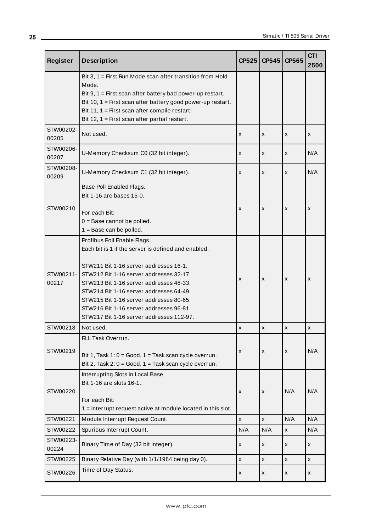| <b>Register</b>    | <b>Description</b>                                                                                                                                                                                                                                                                                                                                                                              | CP525          | CP545              | CP565 | <b>CTI</b><br>2500 |
|--------------------|-------------------------------------------------------------------------------------------------------------------------------------------------------------------------------------------------------------------------------------------------------------------------------------------------------------------------------------------------------------------------------------------------|----------------|--------------------|-------|--------------------|
|                    | Bit 3, $1 =$ First Run Mode scan after transition from Hold<br>Mode.<br>Bit $9, 1$ = First scan after battery bad power-up restart.<br>Bit 10, 1 = First scan after battery good power-up restart.<br>Bit 11, $1 =$ First scan after compile restart.<br>Bit 12, 1 = First scan after partial restart.                                                                                          |                |                    |       |                    |
| STW00202-<br>00205 | Not used.                                                                                                                                                                                                                                                                                                                                                                                       | X              | X                  | X     | X                  |
| STW00206-<br>00207 | U-Memory Checksum C0 (32 bit integer).                                                                                                                                                                                                                                                                                                                                                          | X              | x                  | x     | N/A                |
| STW00208-<br>00209 | U-Memory Checksum C1 (32 bit integer).                                                                                                                                                                                                                                                                                                                                                          | X              | x                  | x     | N/A                |
| STW00210           | Base Poll Enabled Flags.<br>Bit 1-16 are bases 15-0.<br>For each Bit:<br>$0 =$ Base cannot be polled.<br>$1 = Base can be pulled.$                                                                                                                                                                                                                                                              | X              | X                  | X     | x                  |
| STW00211-<br>00217 | Profibus Poll Enable Flags.<br>Each bit is 1 if the server is defined and enabled.<br>STW211 Bit 1-16 server addresses 16-1.<br>STW212 Bit 1-16 server addresses 32-17.<br>STW213 Bit 1-16 server addresses 48-33.<br>STW214 Bit 1-16 server addresses 64-49.<br>STW215 Bit 1-16 server addresses 80-65.<br>STW216 Bit 1-16 server addresses 96-81.<br>STW217 Bit 1-16 server addresses 112-97. | X              | x                  | x     | x                  |
| STW00218           | Not used.                                                                                                                                                                                                                                                                                                                                                                                       | X              | x                  | x     | x                  |
| STW00219           | RLL Task Overrun.<br>Bit 1, Task 1: $0 = Good$ , 1 = Task scan cycle overrun.<br>Bit 2, Task 2: $0 = Good$ , 1 = Task scan cycle overrun.                                                                                                                                                                                                                                                       | X              | X                  | x     | N/A                |
| STW00220           | Interrupting Slots in Local Base.<br>Bit 1-16 are slots 16-1.<br>For each Bit:<br>1 = Interrupt request active at module located in this slot.                                                                                                                                                                                                                                                  | X              | X                  | N/A   | N/A                |
| STW00221           | Module Interrupt Request Count.                                                                                                                                                                                                                                                                                                                                                                 | X              | $\pmb{\mathsf{x}}$ | N/A   | N/A                |
| STW00222           | Spurious Interrupt Count.                                                                                                                                                                                                                                                                                                                                                                       | N/A            | N/A                | X     | N/A                |
| STW00223-<br>00224 | Binary Time of Day (32 bit integer).                                                                                                                                                                                                                                                                                                                                                            | X              | x                  | x     | x                  |
| STW00225           | Binary Relative Day (with 1/1/1984 being day 0).                                                                                                                                                                                                                                                                                                                                                | $\pmb{\times}$ | X                  | x     | X                  |
| STW00226           | Time of Day Status.                                                                                                                                                                                                                                                                                                                                                                             | x              | x                  | x     | X                  |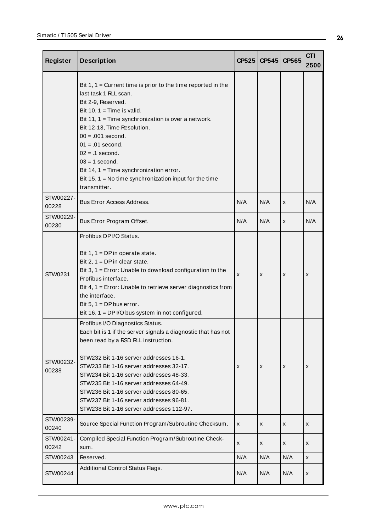| <b>Register</b>    | <b>Description</b>                                                                                                                                                                                                                                                                                                                                                                                                                                    | CP525 | <b>CP545</b> | CP565 | <b>CTI</b><br>2500 |
|--------------------|-------------------------------------------------------------------------------------------------------------------------------------------------------------------------------------------------------------------------------------------------------------------------------------------------------------------------------------------------------------------------------------------------------------------------------------------------------|-------|--------------|-------|--------------------|
|                    | Bit $1, 1$ = Current time is prior to the time reported in the<br>last task 1 RLL scan.<br>Bit 2-9, Reserved.<br>Bit 10, $1 =$ Time is valid.<br>Bit 11, $1 =$ Time synchronization is over a network.<br>Bit 12-13, Time Resolution.<br>$00 = .001$ second.<br>$01 = .01$ second.<br>$02 = .1$ second.<br>$03 = 1$ second.<br>Bit 14, $1 =$ Time synchronization error.<br>Bit 15, 1 = No time synchronization input for the time<br>transmitter.    |       |              |       |                    |
| STW00227-<br>00228 | <b>Bus Error Access Address.</b>                                                                                                                                                                                                                                                                                                                                                                                                                      | N/A   | N/A          | x     | N/A                |
| STW00229-<br>00230 | Bus Error Program Offset.                                                                                                                                                                                                                                                                                                                                                                                                                             | N/A   | N/A          | x     | N/A                |
| STW0231            | Profibus DP I/O Status.<br>Bit $1, 1 = DP$ in operate state.<br>Bit 2, $1 = DP$ in clear state.<br>Bit 3, $1 =$ Error: Unable to download configuration to the<br>Profibus interface.<br>Bit 4, 1 = Error: Unable to retrieve server diagnostics from<br>the interface.<br>Bit $5, 1 = DP$ bus error.<br>Bit 16, $1 = DP$ I/O bus system in not configured.                                                                                           | X     | X            | x     | x                  |
| STW00232-<br>00238 | Profibus I/O Diagnostics Status.<br>Each bit is 1 if the server signals a diagnostic that has not<br>been read by a RSD RLL instruction.<br>STW232 Bit 1-16 server addresses 16-1.<br>STW233 Bit 1-16 server addresses 32-17.<br>STW234 Bit 1-16 server addresses 48-33.<br>STW235 Bit 1-16 server addresses 64-49.<br>STW236 Bit 1-16 server addresses 80-65.<br>STW237 Bit 1-16 server addresses 96-81.<br>STW238 Bit 1-16 server addresses 112-97. | X     | X            | X     | x                  |
| STW00239-<br>00240 | Source Special Function Program/Subroutine Checksum.                                                                                                                                                                                                                                                                                                                                                                                                  | X     | x            | x     | x                  |
| STW00241-<br>00242 | Compiled Special Function Program/Subroutine Check-<br>sum.                                                                                                                                                                                                                                                                                                                                                                                           | X     | X            | x     | x                  |
| STW00243           | Reserved.                                                                                                                                                                                                                                                                                                                                                                                                                                             | N/A   | N/A          | N/A   | X                  |
| STW00244           | Additional Control Status Flags.                                                                                                                                                                                                                                                                                                                                                                                                                      | N/A   | N/A          | N/A   | x                  |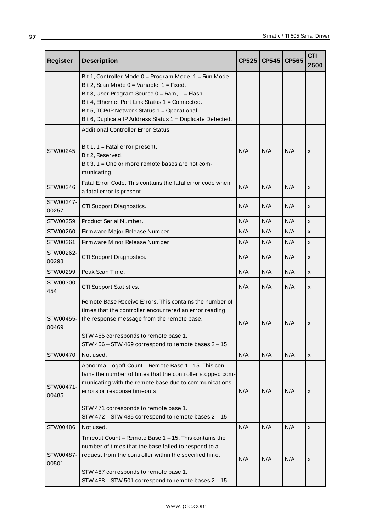| <b>Register</b>    | <b>Description</b>                                                                                                                                                                                                                                                                                                                             | CP525 | CP545 | CP565 | <b>CTI</b><br>2500 |
|--------------------|------------------------------------------------------------------------------------------------------------------------------------------------------------------------------------------------------------------------------------------------------------------------------------------------------------------------------------------------|-------|-------|-------|--------------------|
|                    | Bit 1, Controller Mode $0 = Program$ Mode, $1 = Run$ Mode.<br>Bit 2, Scan Mode $0 = \text{Variable}, 1 = \text{Fixed}.$<br>Bit 3, User Program Source $0 = Ram$ , 1 = Flash.<br>Bit 4, Ethernet Port Link Status 1 = Connected.<br>Bit 5, TCP/IP Network Status 1 = Operational.<br>Bit 6, Duplicate IP Address Status 1 = Duplicate Detected. |       |       |       |                    |
| STW00245           | <b>Additional Controller Error Status.</b><br>Bit $1, 1$ = Fatal error present.<br>Bit 2, Reserved.<br>Bit 3, 1 = One or more remote bases are not com-<br>municating.                                                                                                                                                                         | N/A   | N/A   | N/A   | X                  |
| STW00246           | Fatal Error Code. This contains the fatal error code when<br>a fatal error is present.                                                                                                                                                                                                                                                         | N/A   | N/A   | N/A   | X                  |
| STW00247-<br>00257 | CTI Support Diagnostics.                                                                                                                                                                                                                                                                                                                       | N/A   | N/A   | N/A   | x                  |
| STW00259           | Product Serial Number.                                                                                                                                                                                                                                                                                                                         | N/A   | N/A   | N/A   | X                  |
| STW00260           | Firmware Major Release Number.                                                                                                                                                                                                                                                                                                                 | N/A   | N/A   | N/A   | X                  |
| STW00261           | Firmware Minor Release Number.                                                                                                                                                                                                                                                                                                                 | N/A   | N/A   | N/A   | x                  |
| STW00262-<br>00298 | CTI Support Diagnostics.                                                                                                                                                                                                                                                                                                                       | N/A   | N/A   | N/A   | x                  |
| STW00299           | Peak Scan Time.                                                                                                                                                                                                                                                                                                                                | N/A   | N/A   | N/A   | X                  |
| STW00300-<br>454   | CTI Support Statistics.                                                                                                                                                                                                                                                                                                                        | N/A   | N/A   | N/A   | X                  |
| STW00455-<br>00469 | Remote Base Receive Errors. This contains the number of<br>times that the controller encountered an error reading<br>the response message from the remote base.<br>STW 455 corresponds to remote base 1.<br>STW 456 - STW 469 correspond to remote bases 2 - 15.                                                                               | N/A   | N/A   | N/A   | x                  |
| STW00470           | Not used.                                                                                                                                                                                                                                                                                                                                      | N/A   | N/A   | N/A   | X                  |
| STW00471-<br>00485 | Abnormal Logoff Count - Remote Base 1 - 15. This con-<br>tains the number of times that the controller stopped com-<br>municating with the remote base due to communications<br>errors or response timeouts.<br>STW 471 corresponds to remote base 1.<br>STW 472 - STW 485 correspond to remote bases 2 - 15.                                  | N/A   | N/A   | N/A   | x                  |
| STW00486           | Not used.                                                                                                                                                                                                                                                                                                                                      | N/A   | N/A   | N/A   | X                  |
| STW00487-<br>00501 | Timeout Count – Remote Base $1 - 15$ . This contains the<br>number of times that the base failed to respond to a<br>request from the controller within the specified time.<br>STW 487 corresponds to remote base 1.<br>STW 488 - STW 501 correspond to remote bases 2 - 15.                                                                    | N/A   | N/A   | N/A   | x                  |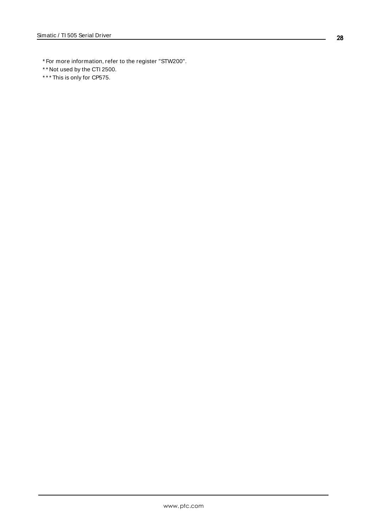- \* For more information, refer to the register "STW200".
- \* \* Not used by the CTI 2500.
- \* \* \* This is only for CP575.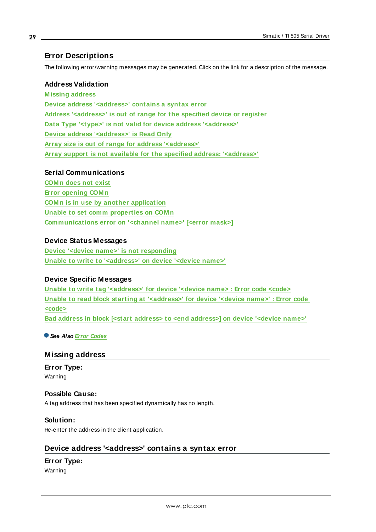### <span id="page-28-0"></span>**Error Descriptions**

The following error/warning messages may be generated. Click on the link for a description of the message.

#### **Address Validation**

**[M issing](#page-28-1) address Device address ['<address>'](#page-28-2) contains a syntax error Address ['<address>'](#page-29-0) is out of range for the specified device or register Data Type '<type>' is not valid for device address ['<address>'](#page-29-1) Device address ['<address>'](#page-29-2) is Read Only Array size is out of range for address ['<address>'](#page-29-3) Array support is not available for the specified address: ['<address>'](#page-30-0)**

#### **Serial Communications**

**[COM n](#page-30-1) does not exist Error [opening](#page-30-2) COM n COM n is in use by another [application](#page-30-3) Unable to set comm [properties](#page-31-0) on COM n [Communications](#page-31-2) error on '<channel name>' [<error mask>]**

#### **Device Status Messages**

**Device '<device name>' is not [responding](#page-32-0) Unable to write to ['<address>'](#page-32-1) on device '<device name>'**

#### **Device Specific Messages**

**Unable to write tag ['<address>'](#page-33-0) for device '<device name> : Error code <code> Unable to read block starting at ['<address>'](#page-33-1) for device '<device name>' : Error code [<code>](#page-33-1) Bad address in block [<start address> to <end [address>\]](#page-33-2) on device '<device name>'**

<span id="page-28-1"></span>**See Also Error [Codes](#page-31-1)**

#### **Missing address**

**Error Type:** Warning

#### **Possible Cause:**

A tag address that has been specified dynamically has no length.

#### **Solution:**

<span id="page-28-2"></span>Re-enter the address in the client application.

#### **Device address '<address>' contains a syntax error**

### **Error Type:**

Warning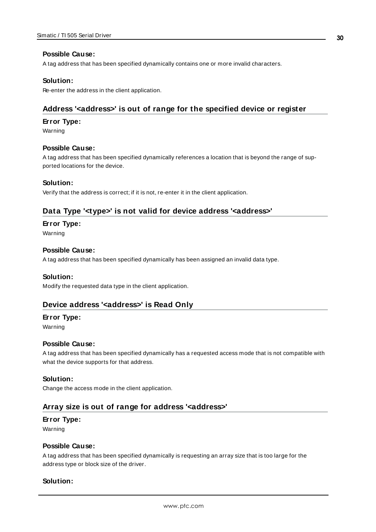#### **Possible Cause:**

A tag address that has been specified dynamically contains one or more invalid characters.

#### **Solution:**

<span id="page-29-0"></span>Re-enter the address in the client application.

#### **Address '<address>' is out of range for the specified device or register**

#### **Error Type:**

Warning

#### **Possible Cause:**

A tag address that has been specified dynamically references a location that is beyond the range of supported locations for the device.

#### **Solution:**

<span id="page-29-1"></span>Verify that the address is correct; if it is not, re-enter it in the client application.

#### **Data Type '<type>' is not valid for device address '<address>'**

#### **Error Type:**

Warning

#### **Possible Cause:**

A tag address that has been specified dynamically has been assigned an invalid data type.

#### **Solution:**

<span id="page-29-2"></span>Modify the requested data type in the client application.

#### **Device address '<address>' is Read Only**

#### **Error Type:**

Warning

#### **Possible Cause:**

A tag address that has been specified dynamically has a requested access mode that is not compatible with what the device supports for that address.

#### **Solution:**

<span id="page-29-3"></span>Change the access mode in the client application.

#### **Array size is out of range for address '<address>'**

#### **Error Type:**

Warning

#### **Possible Cause:**

A tag address that has been specified dynamically is requesting an array size that is too large for the address type or block size of the driver.

#### **Solution:**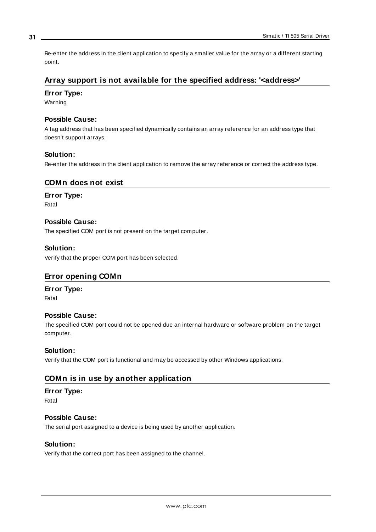Re-enter the address in the client application to specify a smaller value for the array or a different starting point.

### <span id="page-30-0"></span>**Array support is not available for the specified address: '<address>'**

#### **Error Type:**

Warning

#### **Possible Cause:**

A tag address that has been specified dynamically contains an array reference for an address type that doesn't support arrays.

#### **Solution:**

<span id="page-30-1"></span>Re-enter the address in the client application to remove the array reference or correct the address type.

#### **COMn does not exist**

#### **Error Type:**

Fatal

#### **Possible Cause:**

The specified COM port is not present on the target computer.

#### **Solution:**

<span id="page-30-2"></span>Verify that the proper COM port has been selected.

#### **Error opening COMn**

#### **Error Type:**

Fatal

#### **Possible Cause:**

The specified COM port could not be opened due an internal hardware or software problem on the target computer.

#### **Solution:**

<span id="page-30-3"></span>Verify that the COM port is functional and may be accessed by other Windows applications.

#### **COMn is in use by another application**

### **Error Type:**

Fatal

#### **Possible Cause:**

The serial port assigned to a device is being used by another application.

#### **Solution:**

Verify that the correct port has been assigned to the channel.

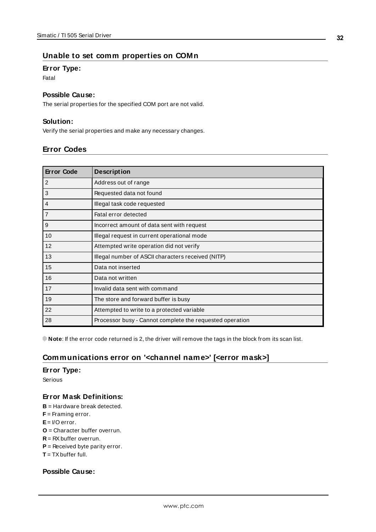#### <span id="page-31-0"></span>**Unable to set comm properties on COMn**

#### **Error Type:**

Fatal

#### **Possible Cause:**

The serial properties for the specified COM port are not valid.

#### **Solution:**

<span id="page-31-1"></span>Verify the serial properties and make any necessary changes.

#### **Error Codes**

| <b>Error Code</b> | <b>Description</b>                                       |
|-------------------|----------------------------------------------------------|
| 2                 | Address out of range                                     |
| 3                 | Requested data not found                                 |
| $\overline{4}$    | Illegal task code requested                              |
| $\overline{7}$    | Fatal error detected                                     |
| 9                 | Incorrect amount of data sent with request               |
| 10                | Illegal request in current operational mode              |
| 12                | Attempted write operation did not verify                 |
| 13                | Illegal number of ASCII characters received (NITP)       |
| 15                | Data not inserted                                        |
| 16                | Data not written                                         |
| 17                | Invalid data sent with command                           |
| 19                | The store and forward buffer is busy                     |
| 22                | Attempted to write to a protected variable               |
| 28                | Processor busy - Cannot complete the requested operation |

<span id="page-31-2"></span>**Note**: If the error code returned is 2, the driver will remove the tags in the block from its scan list.

## **Communications error on '<channel name>' [<error mask>]**

#### **Error Type:**

Serious

#### **Error Mask Definitions:**

- <span id="page-31-3"></span>**B** = Hardware break detected.
- **F** = Framing error.
- <span id="page-31-4"></span>**E**= I/O error.
- **O** = Character buffer overrun.
- <span id="page-31-5"></span>**R** = RXbuffer overrun.
- **P** = Received byte parity error.
- **T** = TXbuffer full.

### **Possible Cause:**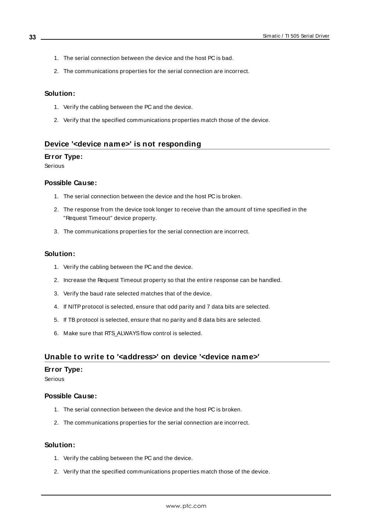- 1. The serial connection between the device and the host PC is bad.
- 2. The communications properties for the serial connection are incorrect.

#### **Solution:**

- 1. Verify the cabling between the PC and the device.
- 2. Verify that the specified communications properties match those of the device.

#### <span id="page-32-0"></span>**Device '<device name>' is not responding**

#### **Error Type:**

Serious

#### **Possible Cause:**

- 1. The serial connection between the device and the host PC is broken.
- 2. The response from the device took longer to receive than the amount of time specified in the "Request Timeout" device property.
- 3. The communications properties for the serial connection are incorrect.

#### **Solution:**

- 1. Verify the cabling between the PC and the device.
- 2. Increase the Request Timeout property so that the entire response can be handled.
- 3. Verify the baud rate selected matches that of the device.
- 4. If NITPprotocol is selected, ensure that odd parity and 7 data bits are selected.
- 5. If TB protocol is selected, ensure that no parity and 8 data bits are selected.
- 6. Make sure that RTS\_ALWAYSflow control is selected.

#### <span id="page-32-1"></span>**Unable to write to '<address>' on device '<device name>'**

#### **Error Type:**

Serious

#### **Possible Cause:**

- 1. The serial connection between the device and the host PC is broken.
- 2. The communications properties for the serial connection are incorrect.

#### **Solution:**

- 1. Verify the cabling between the PC and the device.
- 2. Verify that the specified communications properties match those of the device.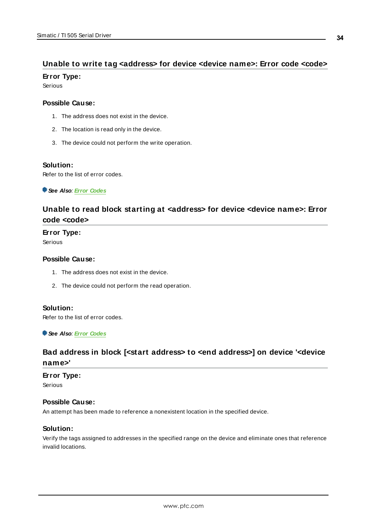## <span id="page-33-0"></span>**Unable to write tag <address> for device <device name>: Error code <code>**

#### **Error Type:**

Serious

#### **Possible Cause:**

- 1. The address does not exist in the device.
- 2. The location is read only in the device.
- 3. The device could not perform the write operation.

#### **Solution:**

Refer to the list of error codes.

<span id="page-33-1"></span>**See Also**: **Error [Codes](#page-31-1)**

## **Unable to read block starting at <address> for device <device name>: Error code <code>**

#### **Error Type:**

Serious

#### **Possible Cause:**

- 1. The address does not exist in the device.
- 2. The device could not perform the read operation.

#### **Solution:**

Refer to the list of error codes.

<span id="page-33-2"></span>**See Also**: **Error [Codes](#page-31-1)**

## **Bad address in block [<start address> to <end address>] on device '<device name>'**

#### **Error Type:**

Serious

#### **Possible Cause:**

An attempt has been made to reference a nonexistent location in the specified device.

#### **Solution:**

Verify the tags assigned to addresses in the specified range on the device and eliminate ones that reference invalid locations.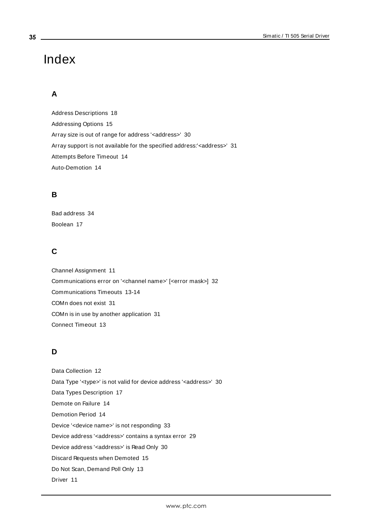# <span id="page-34-0"></span>Index

## **A**

Address Descriptions [18](#page-17-0) Addressing Options [15](#page-14-0) Array size is out of range for address '<address>' [30](#page-29-3) Array support is not available for the specified address:'<address>' [31](#page-30-0) Attempts Before Timeout [14](#page-13-1) Auto-Demotion [14](#page-13-0)

## **B**

Bad address [34](#page-33-2) Boolean [17](#page-16-1)

## **C**

Channel Assignment [11](#page-10-1) Communications error on '<channel name>' [<error mask>] [32](#page-31-2) Communications Timeouts [13-14](#page-12-1) COMn does not exist [31](#page-30-1) COMn is in use by another application [31](#page-30-3) Connect Timeout [13](#page-12-2)

## **D**

Data Collection [12](#page-11-2) Data Type '<type>' is not valid for device address '<aaddress>' [30](#page-29-1) Data Types Description [17](#page-16-0) Demote on Failure [14](#page-13-2) Demotion Period [14](#page-13-3) Device '<device name>' is not responding [33](#page-32-0) Device address '< address>' contains a syntax error [29](#page-28-2) Device address '<address>' is Read Only [30](#page-29-2) Discard Requests when Demoted [15](#page-14-1) Do Not Scan, Demand Poll Only [13](#page-12-3) Driver [11](#page-10-2)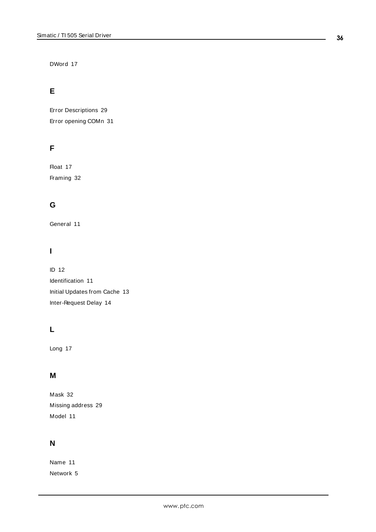DWord [17](#page-16-2)

## **E**

Error Descriptions [29](#page-28-0) Error opening COMn [31](#page-30-2)

## **F**

Float [17](#page-16-3) Framing [32](#page-31-3)

## **G**

General [11](#page-10-0)

## **I**

ID [12](#page-11-3) Identification [11](#page-10-0) Initial Updates from Cache [13](#page-12-4) Inter-Request Delay [14](#page-13-4)

## **L**

Long [17](#page-16-4)

## **M**

Mask [32](#page-31-2) Missing address [29](#page-28-1) Model [11](#page-10-3)

## **N**

Name [11](#page-10-4) Network [5](#page-4-1)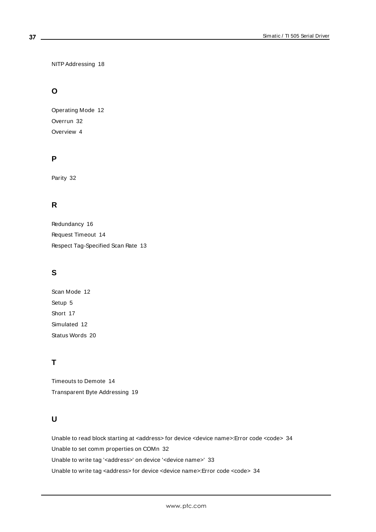NITPAddressing [18](#page-17-1)

## **O**

Operating Mode [12](#page-11-0) Overrun [32](#page-31-4) Overview [4](#page-3-1)

## **P**

Parity [32](#page-31-5)

## **R**

Redundancy [16](#page-15-0) Request Timeout [14](#page-13-5) Respect Tag-Specified Scan Rate [13](#page-12-5)

## **S**

Scan Mode [12](#page-11-4) Setup [5](#page-4-0) Short [17](#page-16-5) Simulated [12](#page-11-5) Status Words [20](#page-19-0)

## **T**

Timeouts to Demote [14](#page-13-6) Transparent Byte Addressing [19](#page-18-0)

## **U**

Unable to read block starting at <address> for device <device name>:Error code <code> [34](#page-33-1) Unable to set comm properties on COMn [32](#page-31-0) Unable to write tag '<address>' on device '<device name>' [33](#page-32-1) Unable to write tag <address> for device <device name>:Error code <code> [34](#page-33-0)